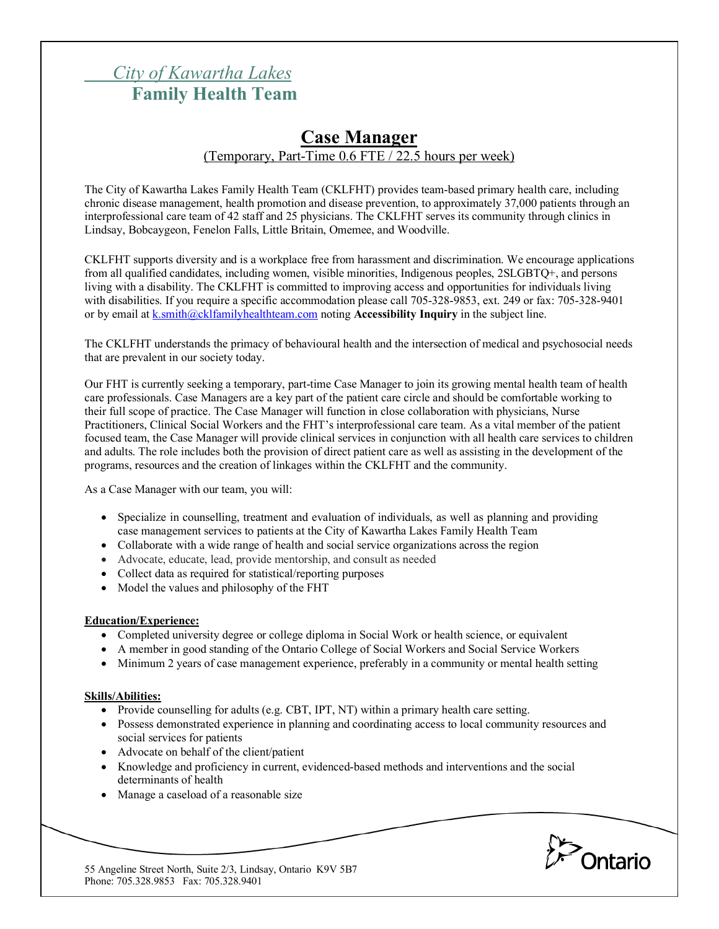# *City of Kawartha Lakes* **Family Health Team**

# **Case Manager** (Temporary, Part-Time 0.6 FTE / 22.5 hours per week)

The City of Kawartha Lakes Family Health Team (CKLFHT) provides team-based primary health care, including chronic disease management, health promotion and disease prevention, to approximately 37,000 patients through an interprofessional care team of 42 staff and 25 physicians. The CKLFHT serves its community through clinics in Lindsay, Bobcaygeon, Fenelon Falls, Little Britain, Omemee, and Woodville.

CKLFHT supports diversity and is a workplace free from harassment and discrimination. We encourage applications from all qualified candidates, including women, visible minorities, Indigenous peoples, 2SLGBTQ+, and persons living with a disability. The CKLFHT is committed to improving access and opportunities for individuals living with disabilities. If you require a specific accommodation please call 705-328-9853, ext. 249 or fax: 705-328-9401 or by email at k.smith@cklfamilyhealthteam.com noting **Accessibility Inquiry** in the subject line.

The CKLFHT understands the primacy of behavioural health and the intersection of medical and psychosocial needs that are prevalent in our society today.

Our FHT is currently seeking a temporary, part-time Case Manager to join its growing mental health team of health care professionals. Case Managers are a key part of the patient care circle and should be comfortable working to their full scope of practice. The Case Manager will function in close collaboration with physicians, Nurse Practitioners, Clinical Social Workers and the FHT's interprofessional care team. As a vital member of the patient focused team, the Case Manager will provide clinical services in conjunction with all health care services to children and adults. The role includes both the provision of direct patient care as well as assisting in the development of the programs, resources and the creation of linkages within the CKLFHT and the community.

As a Case Manager with our team, you will:

- Specialize in counselling, treatment and evaluation of individuals, as well as planning and providing case management services to patients at the City of Kawartha Lakes Family Health Team
- Collaborate with a wide range of health and social service organizations across the region
- Advocate, educate, lead, provide mentorship, and consult as needed
- Collect data as required for statistical/reporting purposes
- Model the values and philosophy of the FHT

#### **Education/Experience:**

- Completed university degree or college diploma in Social Work or health science, or equivalent
- A member in good standing of the Ontario College of Social Workers and Social Service Workers
- Minimum 2 years of case management experience, preferably in a community or mental health setting

#### **Skills/Abilities:**

- Provide counselling for adults (e.g. CBT, IPT, NT) within a primary health care setting.
- Possess demonstrated experience in planning and coordinating access to local community resources and social services for patients
- Advocate on behalf of the client/patient
- Knowledge and proficiency in current, evidenced-based methods and interventions and the social determinants of health
- Manage a caseload of a reasonable size



55 Angeline Street North, Suite 2/3, Lindsay, Ontario K9V 5B7 Phone: 705.328.9853 Fax: 705.328.9401